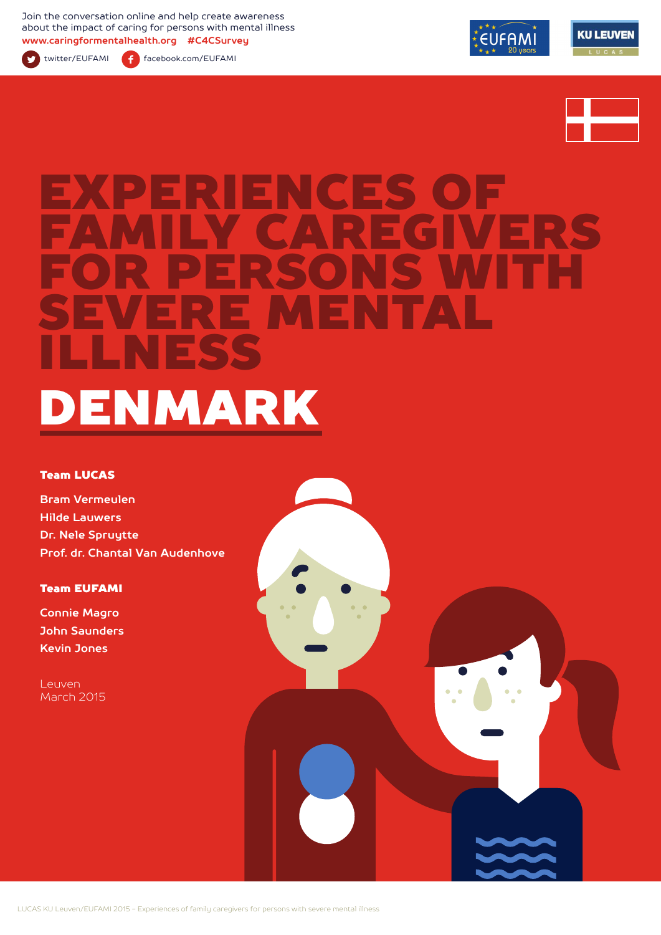Join the conversation online and help create awareness about the impact of caring for persons with mental illness **www.caringformentalhealth.org #C4CSurvey**



twitter/EUFAMI facebook.com/EUFAMI





# ENCES O FAMILY CAREGIVERS FOR PERSONS WITH SEVERE MENTAL ILLNESS DENMARK

#### Team LUCAS

**Bram Vermeulen Hilde Lauwers Dr. Nele Spruytte Prof. dr. Chantal Van Audenhove**

#### Team EUFAMI

**Connie Magro John Saunders Kevin Jones**

Leuven March 2015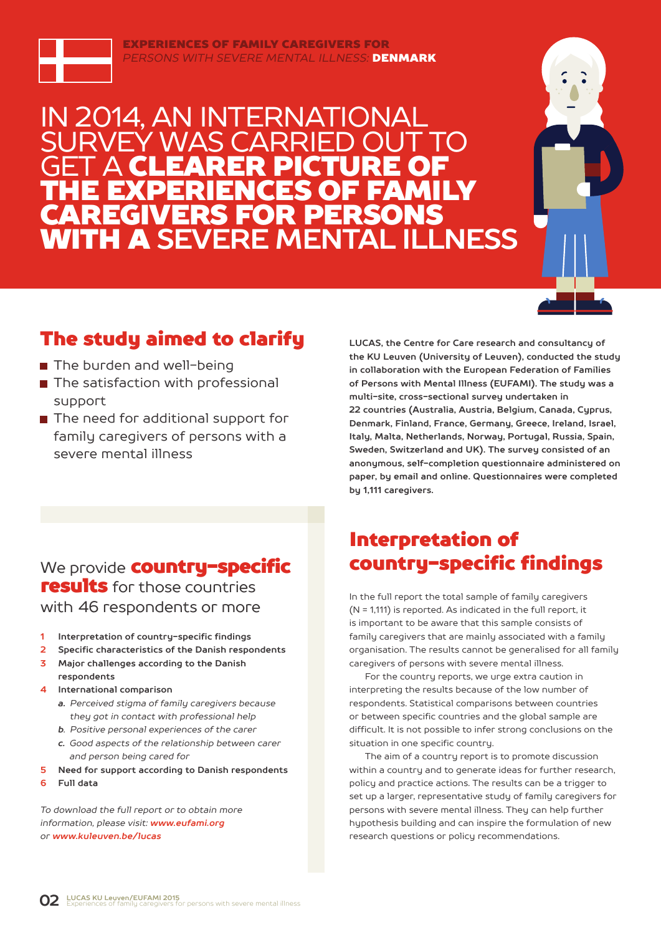

EXPERIENCES OF FAMILY CAREGIVERS FOR *PERSONS WITH SEVERE MENTAL ILLNESS:* DENMARK

### IN 2014, AN INTERNATIONAL Y WAS CARRIE **GET A CLEARER PICTURE OF** THE EXPERIENCES OF FAMILY CAREGIVERS FOR PERSONS WITH A **SEVERE MENTAL ILLNESS**



### The study aimed to clarify

- The burden and well-being
- The satisfaction with professional support
- The need for additional support for family caregivers of persons with a severe mental illness

**LUCAS, the Centre for Care research and consultancy of the KU Leuven (University of Leuven), conducted the study in collaboration with the European Federation of Families of Persons with Mental Illness (EUFAMI). The study was a multi-site, cross-sectional survey undertaken in 22 countries (Australia, Austria, Belgium, Canada, Cyprus, Denmark, Finland, France, Germany, Greece, Ireland, Israel, Italy, Malta, Netherlands, Norway, Portugal, Russia, Spain, Sweden, Switzerland and UK). The survey consisted of an anonymous, self-completion questionnaire administered on paper, by email and online. Questionnaires were completed by 1,111 caregivers.** 

### We provide **country-specific** results for those countries with 46 respondents or more

- **1 Interpretation of country-specific findings**
- **2 Specific characteristics of the Danish respondents**
- **3 Major challenges according to the Danish respondents**
- **4 International comparison**
	- *a. Perceived stigma of family caregivers because they got in contact with professional help*
	- *b. Positive personal experiences of the carer*
	- *c. Good aspects of the relationship between carer and person being cared for*
- **5 Need for support according to Danish respondents**
- **6 Full data**

*To download the full report or to obtain more information, please visit: www.eufami.org or www.kuleuven.be/lucas*

### Interpretation of country-specific findings

In the full report the total sample of family caregivers (N = 1,111) is reported. As indicated in the full report, it is important to be aware that this sample consists of family caregivers that are mainly associated with a family organisation. The results cannot be generalised for all family caregivers of persons with severe mental illness.

For the country reports, we urge extra caution in interpreting the results because of the low number of respondents. Statistical comparisons between countries or between specific countries and the global sample are difficult. It is not possible to infer strong conclusions on the situation in one specific country.

The aim of a country report is to promote discussion within a country and to generate ideas for further research, policy and practice actions. The results can be a trigger to set up a larger, representative study of family caregivers for persons with severe mental illness. They can help further hypothesis building and can inspire the formulation of new research questions or policy recommendations.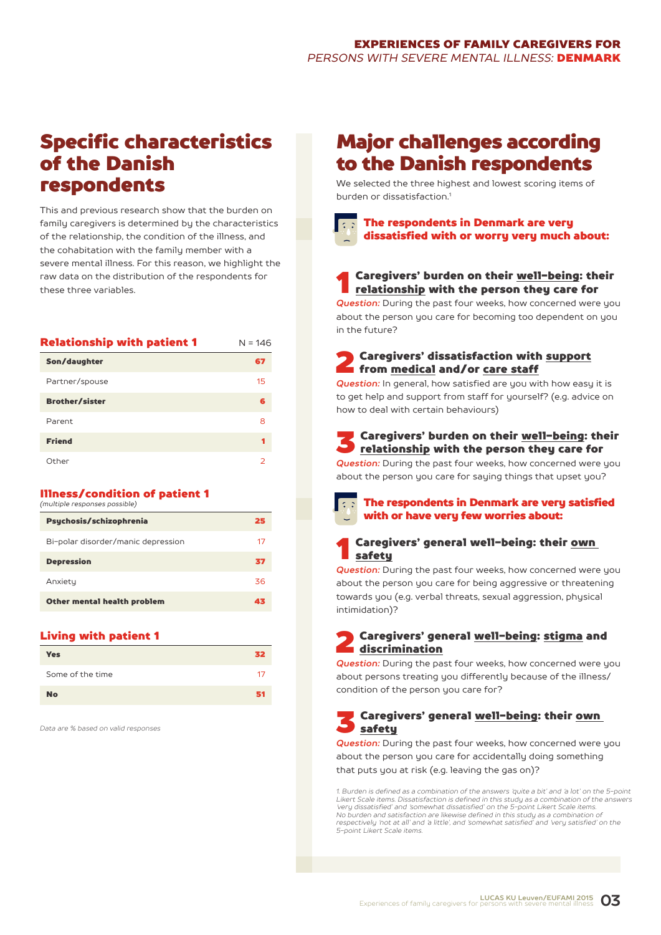### Specific characteristics of the Danish respondents

This and previous research show that the burden on family caregivers is determined by the characteristics of the relationship, the condition of the illness, and the cohabitation with the family member with a severe mental illness. For this reason, we highlight the raw data on the distribution of the respondents for these three variables.

| <b>Relationship with patient 1</b> | $N = 146$ |
|------------------------------------|-----------|
| Son/daughter                       | 67        |
| Partner/spouse                     | 15        |
| <b>Brother/sister</b>              | 6         |
| Parent                             | 8         |
| <b>Friend</b>                      | 1         |
| Other                              | 2         |

#### Illness/condition of patient 1 *(multiple responses possible)*

| Psychosis/schizophrenia            | 25 |
|------------------------------------|----|
| Bi-polar disorder/manic depression | 17 |
| <b>Depression</b>                  | 37 |
| Anxiety                            | 36 |
| Other mental health problem        | 43 |

#### Living with patient 1

| <b>Yes</b>       | 32 |
|------------------|----|
| Some of the time | 17 |
| <b>No</b>        | 51 |

*Data are % based on valid responses*

### Major challenges according to the Danish respondents

We selected the three highest and lowest scoring items of burden or dissatisfaction<sup>1</sup>



# **1** Caregivers' burden on their <u>well-being</u>: their<br><u>relationship</u> with the person they care for

*Question:* During the past four weeks, how concerned were you about the person you care for becoming too dependent on you in the future?

**2** Caregivers' dissatisfaction with support<br>from <u>medical</u> and/or care staff

*Question:* In general, how satisfied are you with how easy it is to get help and support from staff for yourself? (e.g. advice on how to deal with certain behaviours)

S Caregivers' burden on their <u>well-being</u>: their<br><u>relationship</u> with the person they care for

*Question:* During the past four weeks, how concerned were you about the person you care for saying things that upset you?



#### The respondents in Denmark are very satisfied with or have very few worries about:

#### Caregivers' general well-being: their own safety

*Question:* During the past four weeks, how concerned were you about the person you care for being aggressive or threatening towards you (e.g. verbal threats, sexual aggression, physical intimidation)?

#### Caregivers' general well-being: stigma and discrimination

*Question:* During the past four weeks, how concerned were you about persons treating you differently because of the illness/ condition of the person you care for?

#### 3 Caregivers' general well-being: their own safety

*Question:* During the past four weeks, how concerned were you about the person you care for accidentally doing something that puts you at risk (e.g. leaving the gas on)?

*1. Burden is defined as a combination of the answers 'quite a bit' and 'a lot' on the 5-point Likert Scale items. Dissatisfaction is defined in this study as a combination of the answers 'very dissatisfied' and 'somewhat dissatisfied' on the 5-point Likert Scale items. No burden and satisfaction are likewise defined in this study as a combination of respectively 'not at all' and 'a little', and 'somewhat satisfied' and 'very satisfied' on the 5-point Likert Scale items.*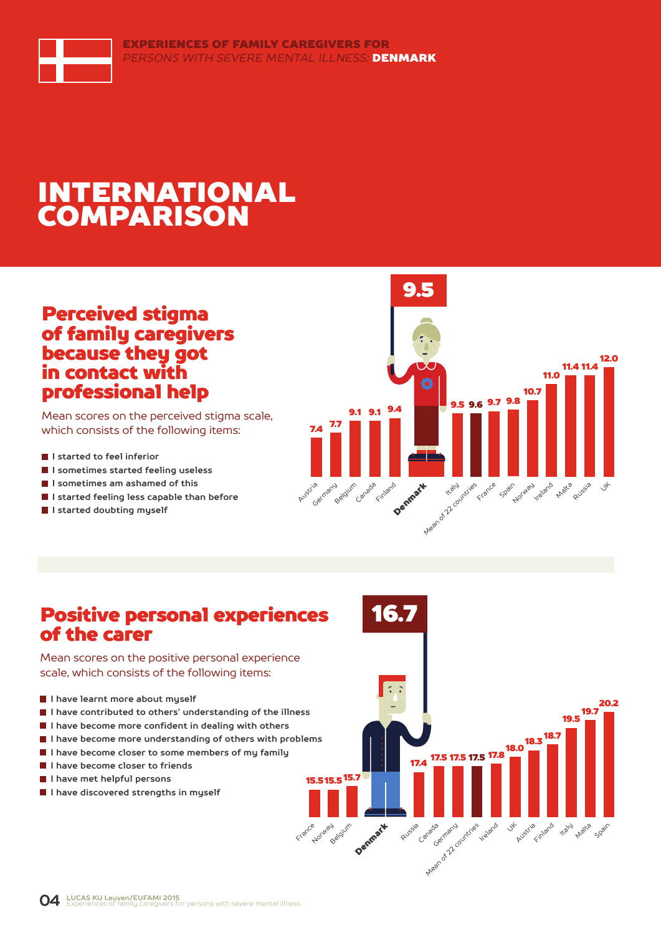

## INTERNATIONAL COMPARISON

### Perceived stigma of family caregivers because they got in contact with professional help

Mean scores on the perceived stigma scale, which consists of the following items:

- **I** I started to feel inferior
- **I sometimes started feeling useless**
- **I sometimes am ashamed of this**
- **I started feeling less capable than before**
- **I started doubting myself**



### Positive personal experiences of the carer

Mean scores on the positive personal experience scale, which consists of the following items:

- **I have learnt more about myself**
- **I have contributed to others' understanding of the illness**
- **I have become more confident in dealing with others**
- **I have become more understanding of others with problems**
- **I have become closer to some members of my family**
- **I have become closer to friends**
- **I have met helpful persons**
- **I** I have discovered strengths in muself

C. 19.5<br>**19.5** 20.2  $18.3\frac{18.7}{...}$ 17.5 <sup>17.8</sup> 17.5 17.5 17.4 15.7 15.5 15.5 Austria Finland Denmark **Kaly** Ireland Jt Norway <sub>Blaium</sub> Russia <sub>Canada</sub> Arean of 22 countries Matca Spain

16.7

France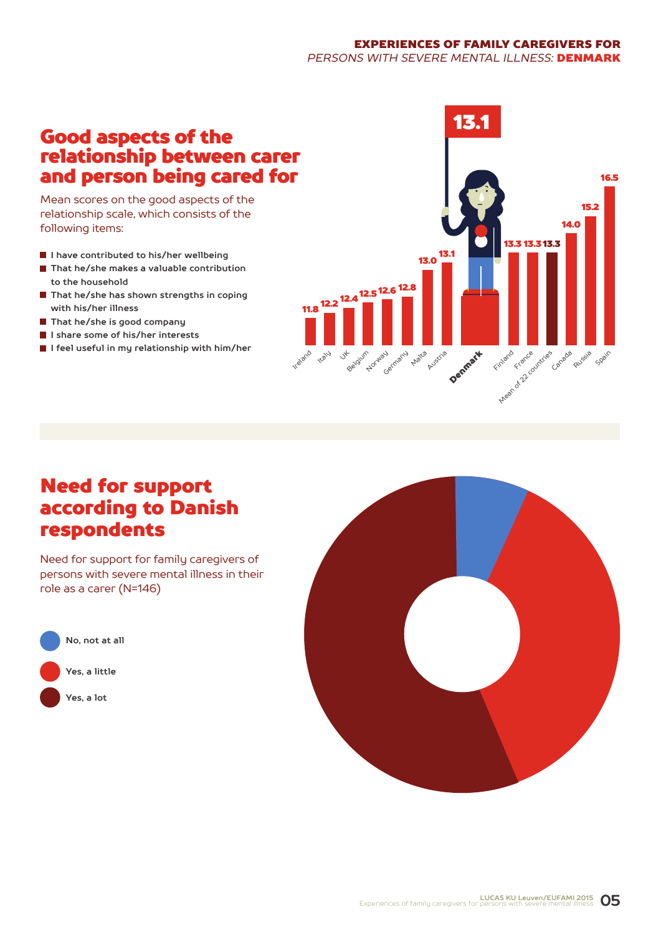#### EXPERIENCES OF FAMILY CAREGIVERS FOR *PERSONS WITH SEVERE MENTAL ILLNESS:* DENMARK

### Good aspects of the relationship between carer and person being cared for

Mean scores on the good aspects of the relationship scale, which consists of the following items:

- **I have contributed to his/her wellbeing**
- **That he/she makes a valuable contribution to the household**
- **That he/she has shown strengths in coping with his/her illness**
- **That he/she is good company**
- **I share some of his/her interests**
- **I feel useful in my relationship with him/her**



### Need for support according to Danish respondents

Need for support for family caregivers of persons with severe mental illness in their role as a carer (N=146)



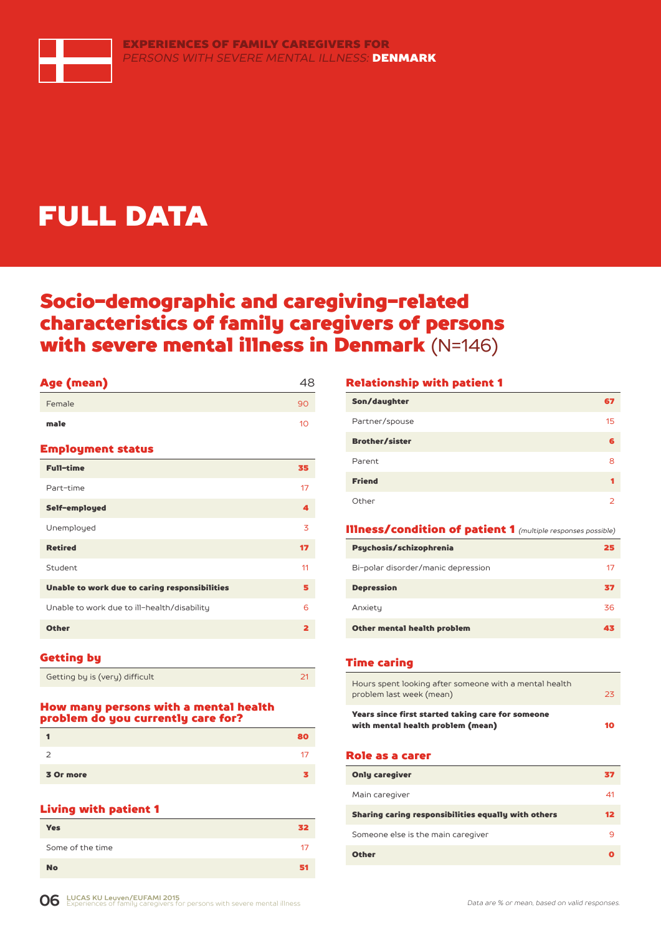

# FULL DATA

### Socio-demographic and caregiving-related characteristics of family caregivers of persons with severe mental illness in Denmark (N=146)

| Age (mean)                                    | 48                      |
|-----------------------------------------------|-------------------------|
| Female                                        | 90                      |
| male                                          | 10                      |
| <b>Employment status</b>                      |                         |
| <b>Full-time</b>                              | 35                      |
| Part-time                                     | 17                      |
| Self-employed                                 | 4                       |
| Unemployed                                    | 3                       |
| <b>Retired</b>                                | 17                      |
| Student                                       | 11                      |
| Unable to work due to caring responsibilities | 5                       |
| Unable to work due to ill-health/disability   | 6                       |
| <b>Other</b>                                  | $\overline{\mathbf{2}}$ |
|                                               |                         |

#### Getting by

| Getting by is (very) difficult |  |
|--------------------------------|--|

#### How many persons with a mental health problem do you currently care for?

|           | 80. |
|-----------|-----|
| っ         |     |
| 3 Or more |     |

#### Living with patient 1

| <b>Yes</b>       | 32 |
|------------------|----|
| Some of the time | 17 |
| <b>No</b>        |    |

#### Relationship with patient 1

| Son/daughter          | 67 |
|-----------------------|----|
| Partner/spouse        | 15 |
| <b>Brother/sister</b> | 6  |
| Parent                | 8  |
| <b>Friend</b>         |    |
| Other                 | っ  |

#### Illness/condition of patient 1 *(multiple responses possible)*

| Psychosis/schizophrenia            | 25 |
|------------------------------------|----|
| Bi-polar disorder/manic depression | 17 |
| <b>Depression</b>                  | 37 |
| Anxiety                            | 36 |
| Other mental health problem        | 43 |

#### Time caring

| Hours spent looking after someone with a mental health<br>problem last week (mean)     | 23 |
|----------------------------------------------------------------------------------------|----|
| Years since first started taking care for someone<br>with mental health problem (mean) | 10 |

#### Role as a carer

| <b>Only caregiver</b>                               | 37      |
|-----------------------------------------------------|---------|
| Main caregiver                                      | 41      |
| Sharing caring responsibilities equally with others | $12 \,$ |
| Someone else is the main caregiver                  |         |
| <b>Other</b>                                        |         |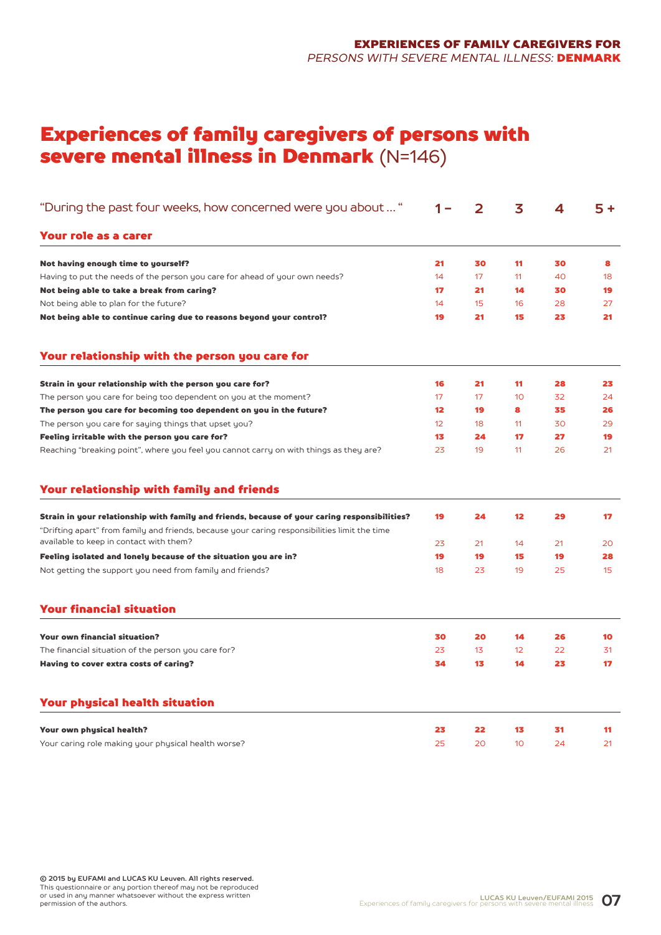### Experiences of family caregivers of persons with severe mental illness in Denmark (N=146)

| "During the past four weeks, how concerned were you about "                                                                                                                                    |                 | 2  | 3                  | 4  | 5 + |
|------------------------------------------------------------------------------------------------------------------------------------------------------------------------------------------------|-----------------|----|--------------------|----|-----|
| Your role as a carer                                                                                                                                                                           |                 |    |                    |    |     |
| Not having enough time to yourself?                                                                                                                                                            | 21              | 30 | 11                 | 30 | 8   |
| Having to put the needs of the person you care for ahead of your own needs?                                                                                                                    | 14              | 17 | 11                 | 40 | 18  |
| Not being able to take a break from caring?                                                                                                                                                    | 17              | 21 | 14                 | 30 | 19  |
| Not being able to plan for the future?                                                                                                                                                         | 14              | 15 | 16                 | 28 | 27  |
| Not being able to continue caring due to reasons beyond your control?                                                                                                                          | 19              | 21 | 15                 | 23 | 21  |
| Your relationship with the person you care for                                                                                                                                                 |                 |    |                    |    |     |
| Strain in your relationship with the person you care for?                                                                                                                                      | 16              | 21 | 11                 | 28 | 23  |
| The person you care for being too dependent on you at the moment?                                                                                                                              | 17              | 17 | 10                 | 32 | 24  |
| The person you care for becoming too dependent on you in the future?                                                                                                                           | 12              | 19 | 8                  | 35 | 26  |
| The person you care for saying things that upset you?                                                                                                                                          | 12 <sup>°</sup> | 18 | 11                 | 30 | 29  |
| Feeling irritable with the person you care for?                                                                                                                                                | 13              | 24 | 17                 | 27 | 19  |
| Reaching "breaking point", where you feel you cannot carry on with things as they are?                                                                                                         | 23              | 19 | 11                 | 26 | 21  |
| Your relationship with family and friends                                                                                                                                                      |                 |    |                    |    |     |
| Strain in your relationship with family and friends, because of your caring responsibilities?<br>"Drifting apart" from family and friends, because your caring responsibilities limit the time | 19              | 24 | $12 \ \varepsilon$ | 29 | 17  |
| available to keep in contact with them?                                                                                                                                                        | 23              | 21 | 14                 | 21 | 20  |
| Feeling isolated and lonely because of the situation you are in?                                                                                                                               | 19              | 19 | 15                 | 19 | 28  |
| Not getting the support you need from family and friends?                                                                                                                                      | 18              | 23 | 19                 | 25 | 15  |
| <b>Your financial situation</b>                                                                                                                                                                |                 |    |                    |    |     |
| <b>Your own financial situation?</b>                                                                                                                                                           | 30              | 20 | 14                 | 26 | 10  |
| The financial situation of the person you care for?                                                                                                                                            | 23              | 13 | 12                 | 22 | 31  |
| Having to cover extra costs of caring?                                                                                                                                                         | 34              | 13 | 14                 | 23 | 17  |
| <b>Your physical health situation</b>                                                                                                                                                          |                 |    |                    |    |     |
| Your own physical health?                                                                                                                                                                      | 23              | 22 | 13                 | 31 | 11  |
| Your caring role making your physical health worse?                                                                                                                                            | 25              | 20 | 10                 | 24 | 21  |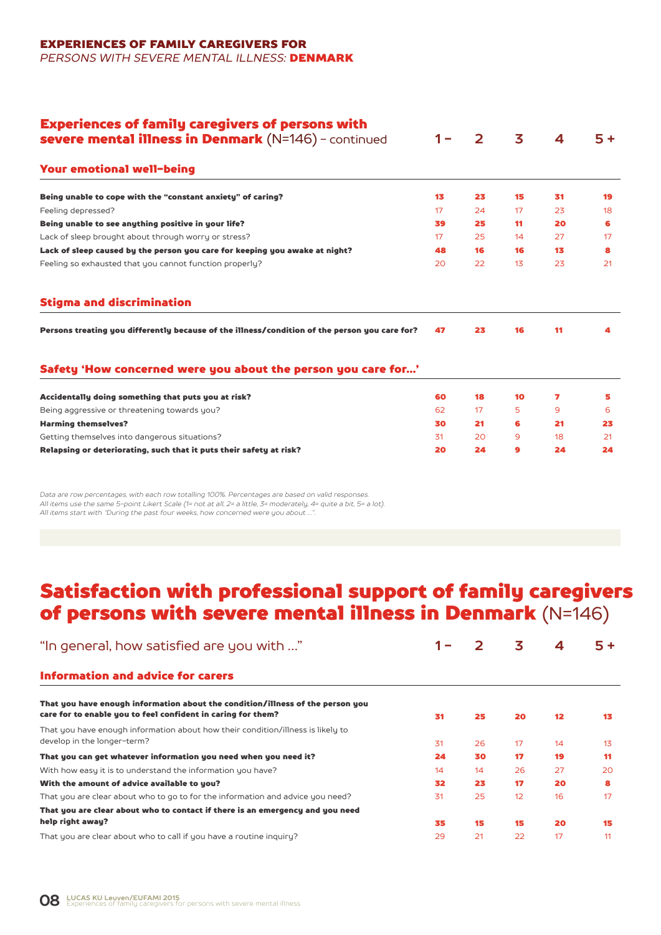#### EXPERIENCES OF FAMILY CAREGIVERS FOR *PERSONS WITH SEVERE MENTAL ILLNESS:* DENMARK

| <b>Experiences of family caregivers of persons with</b><br>severe mental illness in Denmark (N=146) - continued | $1 -$ | $\mathbf{2}$ | 3  | 4   | $5+$ |
|-----------------------------------------------------------------------------------------------------------------|-------|--------------|----|-----|------|
| <b>Your emotional well-being</b>                                                                                |       |              |    |     |      |
| Being unable to cope with the "constant anxiety" of caring?                                                     | 13    | 23           | 15 | 31  | 19   |
| Feeling depressed?                                                                                              | 17    | 24           | 17 | 23  | 18   |
| Being unable to see anything positive in your life?                                                             | 39    | 25           | 11 | 20  | 6    |
| Lack of sleep brought about through worry or stress?                                                            | 17    | 25           | 14 | 27  | 17   |
| Lack of sleep caused by the person you care for keeping you awake at night?                                     | 48    | 16           | 16 | 13. | 8    |
| Feeling so exhausted that you cannot function properly?                                                         | 20    | 22           | 13 | 23  | 21   |
| <b>Stigma and discrimination</b>                                                                                |       |              |    |     |      |
| Persons treating you differently because of the illness/condition of the person you care for?                   | 47    | 23           | 16 | 11  | 4    |
| Safety 'How concerned were you about the person you care for'                                                   |       |              |    |     |      |
| Accidentally doing something that puts you at risk?                                                             | 60    | 18           | 10 | 7   | 5    |
| Being aggressive or threatening towards you?                                                                    | 62    | 17           | 5  | 9   | 6    |
| <b>Harming themselves?</b>                                                                                      | 30    | 21           | 6  | 21  | 23   |
| Getting themselves into dangerous situations?                                                                   | 31    | 20           | 9  | 18  | 21   |
| Relapsing or deteriorating, such that it puts their safety at risk?                                             | 20    | 24           | 9  | 24  | 24   |

*Data are row percentages, with each row totalling 100%. Percentages are based on valid responses. All items use the same 5-point Likert Scale (1= not at all, 2= a little, 3= moderately, 4= quite a bit, 5= a lot). All items start with "During the past four weeks, how concerned were you about …".*

### Satisfaction with professional support of family caregivers of persons with severe mental illness in Denmark (N=146)

| "In general, how satisfied are you with "                                                                                                      | $1 -$ | 2  | 3  | 4                 | $5 +$          |
|------------------------------------------------------------------------------------------------------------------------------------------------|-------|----|----|-------------------|----------------|
| Information and advice for carers                                                                                                              |       |    |    |                   |                |
| That you have enough information about the condition/illness of the person you<br>care for to enable you to feel confident in caring for them? | 31    | 25 | 20 | $12 \overline{ }$ | 13             |
| That you have enough information about how their condition/illness is likely to<br>develop in the longer-term?                                 | 31    | 26 | 17 | 14                | 1 <sub>3</sub> |
| That you can get whatever information you need when you need it?                                                                               | 24    | 30 | 17 | 19                | 11             |
| With how easy it is to understand the information you have?                                                                                    | 14    | 14 | 26 | 27                | 20             |
| With the amount of advice available to you?                                                                                                    | 32    | 23 | 17 | 20                | 8              |
| That you are clear about who to go to for the information and advice you need?                                                                 | 31    | 25 | 12 | 16                | 17             |
| That you are clear about who to contact if there is an emergency and you need                                                                  |       |    |    |                   |                |
| help right away?                                                                                                                               | 35    | 15 | 15 | 20                | 15             |
| That you are clear about who to call if you have a routine inquiry?                                                                            | 29    | 21 | 22 | 17                | 11             |